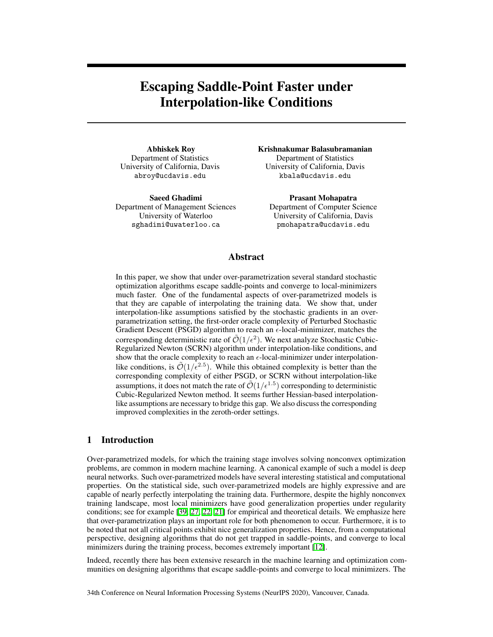# <span id="page-0-0"></span>Escaping Saddle-Point Faster under Interpolation-like Conditions

Abhiskek Roy Department of Statistics University of California, Davis abroy@ucdavis.edu

Saeed Ghadimi Department of Management Sciences University of Waterloo sghadimi@uwaterloo.ca

Krishnakumar Balasubramanian Department of Statistics University of California, Davis kbala@ucdavis.edu

Prasant Mohapatra Department of Computer Science University of California, Davis pmohapatra@ucdavis.edu

## Abstract

In this paper, we show that under over-parametrization several standard stochastic optimization algorithms escape saddle-points and converge to local-minimizers much faster. One of the fundamental aspects of over-parametrized models is that they are capable of interpolating the training data. We show that, under interpolation-like assumptions satisfied by the stochastic gradients in an overparametrization setting, the first-order oracle complexity of Perturbed Stochastic Gradient Descent (PSGD) algorithm to reach an  $\epsilon$ -local-minimizer, matches the corresponding deterministic rate of  $\mathcal{O}(1/\epsilon^2)$ . We next analyze Stochastic Cubic-Regularized Newton (SCRN) algorithm under interpolation-like conditions, and show that the oracle complexity to reach an  $\epsilon$ -local-minimizer under interpolationlike conditions, is  $\tilde{\mathcal{O}}(1/\epsilon^{2.5})$ . While this obtained complexity is better than the corresponding complexity of either PSGD, or SCRN without interpolation-like assumptions, it does not match the rate of  $\tilde{\mathcal{O}}(1/\epsilon^{1.5})$  corresponding to deterministic Cubic-Regularized Newton method. It seems further Hessian-based interpolationlike assumptions are necessary to bridge this gap. We also discuss the corresponding improved complexities in the zeroth-order settings.

## 1 Introduction

Over-parametrized models, for which the training stage involves solving nonconvex optimization problems, are common in modern machine learning. A canonical example of such a model is deep neural networks. Such over-parametrized models have several interesting statistical and computational properties. On the statistical side, such over-parametrized models are highly expressive and are capable of nearly perfectly interpolating the training data. Furthermore, despite the highly nonconvex training landscape, most local minimizers have good generalization properties under regularity conditions; see for example  $[39, 27, 22, 21]$  $[39, 27, 22, 21]$  $[39, 27, 22, 21]$  $[39, 27, 22, 21]$  $[39, 27, 22, 21]$  $[39, 27, 22, 21]$  $[39, 27, 22, 21]$  for empirical and theoretical details. We emphasize here that over-parametrization plays an important role for both phenomenon to occur. Furthermore, it is to be noted that not all critical points exhibit nice generalization properties. Hence, from a computational perspective, designing algorithms that do not get trapped in saddle-points, and converge to local minimizers during the training process, becomes extremely important  $[12]$ .

Indeed, recently there has been extensive research in the machine learning and optimization communities on designing algorithms that escape saddle-points and converge to local minimizers. The

34th Conference on Neural Information Processing Systems (NeurIPS 2020), Vancouver, Canada.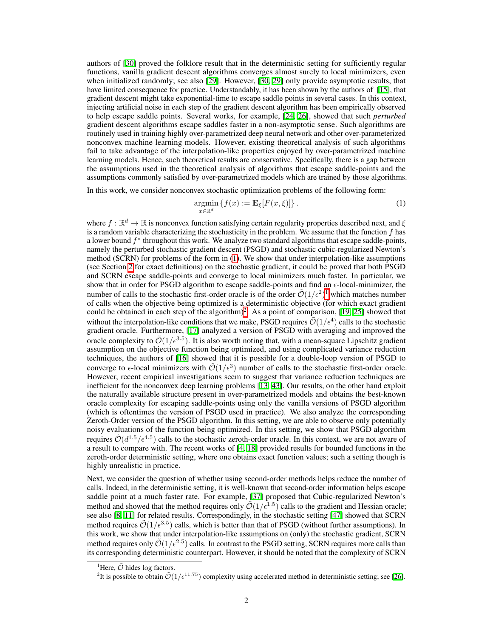authors of [\[30\]](#page-10-3) proved the folklore result that in the deterministic setting for sufficiently regular functions, vanilla gradient descent algorithms converges almost surely to local minimizers, even when initialized randomly; see also  $[29]$ . However,  $[30, 29]$  $[30, 29]$  $[30, 29]$  only provide asymptotic results, that have limited consequence for practice. Understandably, it has been shown by the authors of  $\sqrt{15}$ , that gradient descent might take exponential-time to escape saddle points in several cases. In this context, injecting artificial noise in each step of the gradient descent algorithm has been empirically observed to help escape saddle points. Several works, for example, [\[24,](#page-10-5) [26\]](#page-10-6), showed that such *perturbed* gradient descent algorithms escape saddles faster in a non-asymptotic sense. Such algorithms are routinely used in training highly over-parametrized deep neural network and other over-parameterized nonconvex machine learning models. However, existing theoretical analysis of such algorithms fail to take advantage of the interpolation-like properties enjoyed by over-parametrized machine learning models. Hence, such theoretical results are conservative. Specifically, there is a gap between the assumptions used in the theoretical analysis of algorithms that escape saddle-points and the assumptions commonly satisfied by over-parametrized models which are trained by those algorithms.

In this work, we consider nonconvex stochastic optimization problems of the following form:

<span id="page-1-0"></span>
$$
\underset{x \in \mathbb{R}^d}{\operatorname{argmin}} \left\{ f(x) := \mathbf{E}_{\xi}[F(x,\xi)] \right\}.
$$
\n(1)

where  $f: \mathbb{R}^d \to \mathbb{R}$  is nonconvex function satisfying certain regularity properties described next, and  $\xi$ is a random variable characterizing the stochasticity in the problem. We assume that the function *f* has a lower bound  $f^*$  throughout this work. We analyze two standard algorithms that escape saddle-points, namely the perturbed stochastic gradient descent (PSGD) and stochastic cubic-regularized Newton's method (SCRN) for problems of the form in  $\Pi$ . We show that under interpolation-like assumptions (see Section  $\sqrt{2}$  for exact definitions) on the stochastic gradient, it could be proved that both PSGD and SCRN escape saddle-points and converge to local minimizers much faster. In particular, we show that in order for PSGD algorithm to escape saddle-points and find an  $\epsilon$ -local-minimizer, the number of calls to the stochastic first-order oracle is of the order  $\tilde{\mathcal{O}}(1/\epsilon^2)^{1}$  $\tilde{\mathcal{O}}(1/\epsilon^2)^{1}$  $\tilde{\mathcal{O}}(1/\epsilon^2)^{1}$  which matches number of calls when the objective being optimized is a deterministic objective (for which exact gradient could be obtained in each step of the algorithm) $\frac{2}{5}$ . As a point of comparison,  $\boxed{19}$ ,  $\boxed{25}$  showed that without the interpolation-like conditions that we make, PSGD requires  $\mathcal{O}(1/\epsilon^4)$  calls to the stochastic gradient oracle. Furthermore, [\[17\]](#page-9-3) analyzed a version of PSGD with averaging and improved the oracle complexity to  $\tilde{\mathcal{O}}(1/\epsilon^{3.5})$ . It is also worth noting that, with a mean-square Lipschitz gradient assumption on the objective function being optimized, and using complicated variance reduction techniques, the authors of  $[16]$  showed that it is possible for a double-loop version of PSGD to converge to  $\epsilon$ -local minimizers with  $\mathcal{O}(1/\epsilon^3)$  number of calls to the stochastic first-order oracle. However, recent empirical investigations seem to suggest that variance reduction techniques are inefficient for the nonconvex deep learning problems [\[13,](#page-9-5) [43\]](#page-11-1). Our results, on the other hand exploit the naturally available structure present in over-parametrized models and obtains the best-known oracle complexity for escaping saddle-points using only the vanilla versions of PSGD algorithm (which is oftentimes the version of PSGD used in practice). We also analyze the corresponding Zeroth-Order version of the PSGD algorithm. In this setting, we are able to observe only potentially noisy evaluations of the function being optimized. In this setting, we show that PSGD algorithm requires  $\tilde{\mathcal{O}}(d^{1.5}/\epsilon^{4.5})$  calls to the stochastic zeroth-order oracle. In this context, we are not aware of a result to compare with. The recent works of  $\left|\frac{1}{4}\right| \left|\frac{1}{8}\right|$  provided results for bounded functions in the zeroth-order deterministic setting, where one obtains exact function values; such a setting though is highly unrealistic in practice.

Next, we consider the question of whether using second-order methods helps reduce the number of calls. Indeed, in the deterministic setting, it is well-known that second-order information helps escape saddle point at a much faster rate. For example,  $\sqrt{37}$  proposed that Cubic-regularized Newton's method and showed that the method requires only  $\tilde{\mathcal{O}}(1/\epsilon^{1.5})$  calls to the gradient and Hessian oracle; see also [\[8,](#page-9-8) [11\]](#page-9-9) for related results. Correspondingly, in the stochastic setting [\[47\]](#page-11-2) showed that SCRN method requires  $\tilde{\mathcal{O}}(1/\epsilon^{3.5})$  calls, which is better than that of PSGD (without further assumptions). In this work, we show that under interpolation-like assumptions on (only) the stochastic gradient, SCRN method requires only  $\tilde{\mathcal{O}}(1/\epsilon^{2.5})$  calls. In contrast to the PSGD setting, SCRN requires more calls than its corresponding deterministic counterpart. However, it should be noted that the complexity of SCRN

<span id="page-1-1"></span><sup>&</sup>lt;sup>1</sup>Here,  $\tilde{\mathcal{O}}$  hides log factors.

<span id="page-1-2"></span>It is possible to obtain  $\tilde{\mathcal{O}}(1/\epsilon^{11.75})$  complexity using accelerated method in deterministic setting; see [\[26\]](#page-10-6).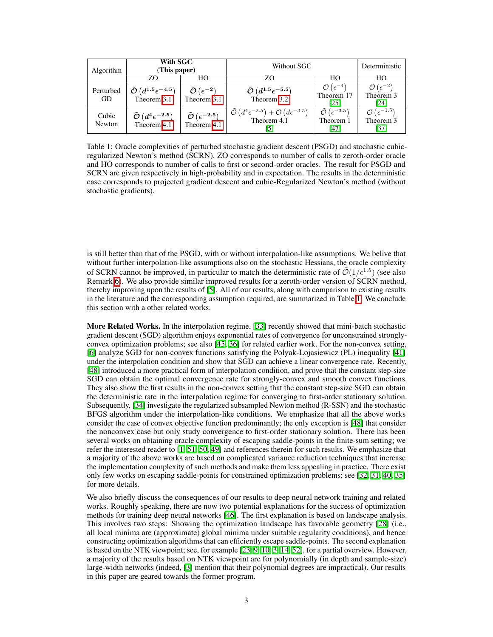| Algorithm       | With SGC<br>(This paper)                                                             |                                                                    | Without SGC                                                                                                    |                                                                 | Deterministic                                                   |
|-----------------|--------------------------------------------------------------------------------------|--------------------------------------------------------------------|----------------------------------------------------------------------------------------------------------------|-----------------------------------------------------------------|-----------------------------------------------------------------|
|                 | ZΩ                                                                                   | HО                                                                 | ZΟ                                                                                                             | HО                                                              | HO                                                              |
| Perturbed<br>GD | $\tilde{\mathcal{O}}\left(d^{1.5}\epsilon^{-4.5}\right)$<br>Theorem $\overline{3.1}$ | $\tilde{\mathcal{O}}\left(\epsilon^{-2}\right)$<br>Theorem $3.1$   | $\tilde{\mathcal{O}}\left(d^{1.5}\epsilon^{-5.5}\right)$<br>Theorem 3.2                                        | $\mathcal{O}(\epsilon^{-4})$<br>Theorem 17<br>$\left[25\right]$ | $\mathcal{O}(\epsilon^{-2})$<br>Theorem 3<br>[24]               |
| Cubic<br>Newton | $\tilde{\mathcal{O}}\left(d^4\epsilon^{-2.5}\right)$ Theorem 4.1                     | $\tilde{\mathcal{O}}\left(\epsilon^{-2.5}\right)$<br>Theorem $4.1$ | $\tilde{\mathcal{O}}\left(d^4\epsilon^{-2.5}\right) + \mathcal{O}\left(d\epsilon^{-3.5}\right)$<br>Theorem 4.1 | $\mathcal{O}\left(\epsilon^{-3.5}\right)$<br>Theorem 1<br>[47]  | $\mathcal{O}$ ( $\epsilon^{-1.5}$ )<br>Theorem 3<br>$\sqrt{37}$ |

Table 1: Oracle complexities of perturbed stochastic gradient descent (PSGD) and stochastic cubicregularized Newton's method (SCRN). ZO corresponds to number of calls to zeroth-order oracle and HO corresponds to number of calls to first or second-order oracles. The result for PSGD and SCRN are given respectively in high-probability and in expectation. The results in the deterministic case corresponds to projected gradient descent and cubic-Regularized Newton's method (without stochastic gradients).

is still better than that of the PSGD, with or without interpolation-like assumptions. We belive that without further interpolation-like assumptions also on the stochastic Hessians, the oracle complexity of SCRN cannot be improved, in particular to match the deterministic rate of  $\tilde{\mathcal{O}}(1/\epsilon^{1.5})$  (see also Remark  $\overline{6}$ ). We also provide similar improved results for a zeroth-order version of SCRN method, thereby improving upon the results of  $[5]$ . All of our results, along with comparison to existing results in the literature and the corresponding assumption required, are summarized in Table  $\Pi$ . We conclude this section with a other related works.

More Related Works. In the interpolation regime,  $\sqrt{33}$  recently showed that mini-batch stochastic gradient descent (SGD) algorithm enjoys exponential rates of convergence for unconstrained stronglyconvex optimization problems; see also  $[45]$   $[36]$  $[36]$  for related earlier work. For the non-convex setting, [\[6\]](#page-9-11) analyze SGD for non-convex functions satisfying the Polyak-Lojasiewicz (PL) inequality [\[41\]](#page-11-4) under the interpolation condition and show that SGD can achieve a linear convergence rate. Recently, [\[48\]](#page-11-5) introduced a more practical form of interpolation condition, and prove that the constant step-size SGD can obtain the optimal convergence rate for strongly-convex and smooth convex functions. They also show the first results in the non-convex setting that the constant step-size SGD can obtain the deterministic rate in the interpolation regime for converging to first-order stationary solution. Subsequently, [\[34\]](#page-10-11) investigate the regularized subsampled Newton method (R-SSN) and the stochastic BFGS algorithm under the interpolation-like conditions. We emphasize that all the above works consider the case of convex objective function predominantly; the only exception is  $[48]$  that consider the nonconvex case but only study convergence to first-order stationary solution. There has been several works on obtaining oracle complexity of escaping saddle-points in the finite-sum setting; we refer the interested reader to  $\left[\frac{1}{51}, \frac{50}{50}, \frac{49}{9}\right]$  and references therein for such results. We emphasize that a majority of the above works are based on complicated variance reduction techniques that increase the implementation complexity of such methods and make them less appealing in practice. There exist only few works on escaping saddle-points for constrained optimization problems; see [\[32,](#page-10-12) [31,](#page-10-13) [40,](#page-11-9) [35\]](#page-10-14) for more details.

We also briefly discuss the consequences of our results to deep neural network training and related works. Roughly speaking, there are now two potential explanations for the success of optimization methods for training deep neural networks [\[46\]](#page-11-10). The first explanation is based on landscape analysis. This involves two steps: Showing the optimization landscape has favorable geometry [\[28\]](#page-10-15) (i.e., all local minima are (approximate) global minima under suitable regularity conditions), and hence constructing optimization algorithms that can efficiently escape saddle-points. The second explanation is based on the NTK viewpoint; see, for example  $[23, 9, 10, 3, 14, 52]$  $[23, 9, 10, 3, 14, 52]$  $[23, 9, 10, 3, 14, 52]$  $[23, 9, 10, 3, 14, 52]$  $[23, 9, 10, 3, 14, 52]$  $[23, 9, 10, 3, 14, 52]$  $[23, 9, 10, 3, 14, 52]$  $[23, 9, 10, 3, 14, 52]$  $[23, 9, 10, 3, 14, 52]$  $[23, 9, 10, 3, 14, 52]$  $[23, 9, 10, 3, 14, 52]$ , for a partial overview. However, a majority of the results based on NTK viewpoint are for polynomially (in depth and sample-size) large-width networks (indeed, [\[3\]](#page-9-14) mention that their polynomial degrees are impractical). Our results in this paper are geared towards the former program.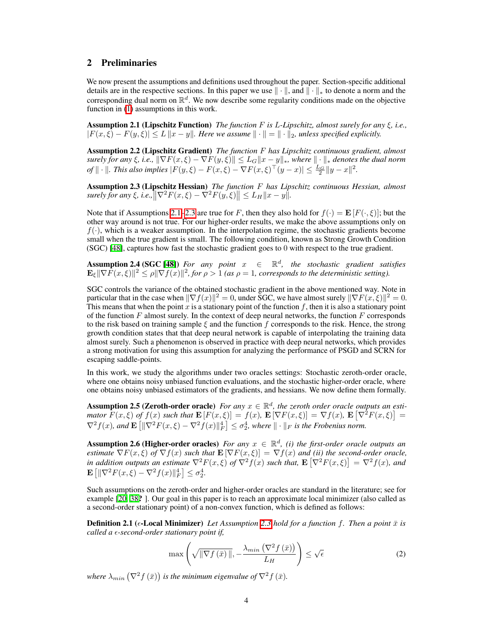# <span id="page-3-0"></span>2 Preliminaries

We now present the assumptions and definitions used throughout the paper. Section-specific additional details are in the respective sections. In this paper we use  $\|\cdot\|$ , and  $\|\cdot\|_*$  to denote a norm and the corresponding dual norm on  $\mathbb{R}^d$ . We now describe some regularity conditions made on the objective function in  $(1)$  assumptions in this work.

<span id="page-3-1"></span>**Assumption 2.1 (Lipschitz Function)** *The function*  $F$  *is L-Lipschitz, almost surely for any*  $\xi$ *, i.e.,*  $|F(x,\xi) - F(y,\xi)| \leq L \|x - y\|$ . Here we assume  $\|\cdot\| = \|\cdot\|_2$ , unless specified explicitly.

<span id="page-3-5"></span>Assumption 2.2 (Lipschitz Gradient) *The function F has Lipschitz continuous gradient, almost*  $s$ *urely for any*  $\xi$ , *i.e.*,  $\|\nabla F(x,\xi) - \nabla F(y,\xi)\| \leq L_G \|x - y\|_*$ , where  $\|\cdot\|_*$  denotes the dual norm  $\int_{0}^{x} || \cdot ||$ . This also implies  $|F(y,\xi) - F(x,\xi) - \nabla F(x,\xi)^\top (y-x)| \leq \frac{L_G}{2} ||y-x||^2$ .

<span id="page-3-2"></span>Assumption 2.3 (Lipschitz Hessian) *The function F has Lipschitz continuous Hessian, almost*  $\|S\| \leq L_H \|x - y\|$ .<br>  $\|S\| \leq L_H \|x - y\|$ .

Note that if Assumptions  $[2.1]$ - $[2.3]$  $[2.3]$  $[2.3]$  are true for *F*, then they also hold for  $f(\cdot) = \mathbf{E}[F(\cdot,\xi)]$ ; but the other way around is not true. For our higher-order results, we make the above assumptions only on  $f(\cdot)$ , which is a weaker assumption. In the interpolation regime, the stochastic gradients become small when the true gradient is small. The following condition, known as Strong Growth Condition (SGC)  $[48]$ , captures how fast the stochastic gradient goes to 0 with respect to the true gradient.

<span id="page-3-4"></span>Assumption 2.4 (SGC  $[48]$ ) *For any point*  $x \in \mathbb{R}^d$ , the stochastic gradient satisfies  $\mathbf{E}_{\xi} \|\nabla \hat{F}(x,\xi)\|^2 \leq \rho \|\nabla f(x)\|^2$ , for  $\rho > 1$  (as  $\rho = 1$ , corresponds to the deterministic setting).

SGC controls the variance of the obtained stochastic gradient in the above mentioned way. Note in particular that in the case when  $\|\nabla f(x)\|^2 = 0$ , under SGC, we have almost surely  $\|\nabla F(x,\xi)\|^2 = 0$ . This means that when the point  $x$  is a stationary point of the function  $f$ , then it is also a stationary point of the function *F* almost surely. In the context of deep neural networks, the function *F* corresponds to the risk based on training sample  $\xi$  and the function  $f$  corresponds to the risk. Hence, the strong growth condition states that that deep neural network is capable of interpolating the training data almost surely. Such a phenomenon is observed in practice with deep neural networks, which provides a strong motivation for using this assumption for analyzing the performance of PSGD and SCRN for escaping saddle-points.

In this work, we study the algorithms under two oracles settings: Stochastic zeroth-order oracle, where one obtains noisy unbiased function evaluations, and the stochastic higher-order oracle, where one obtains noisy unbiased estimators of the gradients, and hessians. We now define them formally.

Assumption 2.5 (Zeroth-order oracle) *For any*  $x \in \mathbb{R}^d$ , the zeroth order oracle outputs an esti*mator*  $\overline{F}(x,\xi)$  *of*  $f(x)$  *such that*  $\mathbf{E}[F(x,\xi)] = f(x)$ ,  $\mathbf{E}[\nabla F(x,\xi)] = \nabla f(x)$ ,  $\mathbf{E}[\nabla^2 F(x,\xi)] =$  $\nabla^2 f(x)$ , and  $\mathbf{E}\left[\|\nabla^2 F(x,\xi) - \nabla^2 f(x)\|_F^4\right] \leq \sigma_2^4$ , where  $\|\cdot\|_F$  is the Frobenius norm.

**Assumption 2.6 (Higher-order oracles)** *For any*  $x \in \mathbb{R}^d$ , *(i) the first-order oracle outputs an estimate*  $\nabla F(x,\xi)$  *of*  $\nabla f(x)$  *such that*  $\mathbf{E}[\nabla F(x,\xi)] = \nabla f(x)$  *and (ii) the second-order oracle, in addition outputs an estimate*  $\nabla^2 F(x,\xi)$  *of*  $\nabla^2 f(x)$  *such that,*  $\mathbf{E} [\nabla^2 F(x,\xi)] = \nabla^2 f(x)$ *, and*  $\mathbf{E}\left[\|\nabla^2 F(x,\xi) - \nabla^2 f(x)\|_F^4\right] \le \sigma_2^4.$ 

Such assumptions on the zeroth-order and higher-order oracles are standard in the literature; see for example  $[20, 38]$  $[20, 38]$  $[20, 38]$  $[20, 38]$ ? ]. Our goal in this paper is to reach an approximate local minimizer (also called as a second-order stationary point) of a non-convex function, which is defined as follows:

**Definition 2.1** ( $\epsilon$ -**Local Minimizer)** *Let Assumption* [2.3](#page-3-2)*<i> hold for a function f. Then a point*  $\bar{x}$  *is called a ε-second-order stationary point if,* 

<span id="page-3-3"></span>
$$
\max\left(\sqrt{\|\nabla f(\bar{x})\|}, -\frac{\lambda_{min}\left(\nabla^2 f(\bar{x})\right)}{L_H}\right) \le \sqrt{\epsilon} \tag{2}
$$

where  $\lambda_{min} \left( \nabla^2 f \left( \bar{x} \right) \right)$  is the minimum eigenvalue of  $\nabla^2 f \left( \bar{x} \right)$ .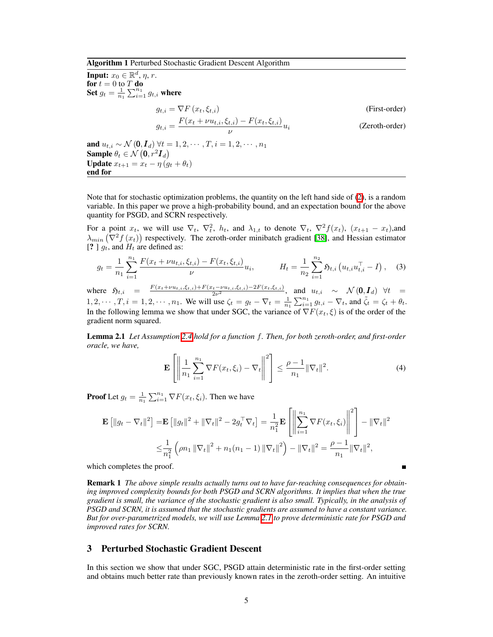<span id="page-4-1"></span>Algorithm 1 Perturbed Stochastic Gradient Descent Algorithm

**Input:**  $x_0 \in \mathbb{R}^d$ ,  $\eta$ ,  $r$ . for  $t = 0$  to  $T$  do Set  $g_t = \frac{1}{n_1} \sum_{i=1}^{n_1} g_{t,i}$  where  $g_{t,i} = \nabla F(x_t, \xi_{t,i})$  (First-order)  $g_{t,i} = \frac{F(x_t + \nu u_{t,i}, \xi_{t,i}) - F(x_t, \xi_{t,i})}{\nu} u_i$  (Zeroth-order) and  $u_{t,i} \sim \mathcal{N}(0, \mathbf{I}_d)$   $\forall t = 1, 2, \cdots, T, i = 1, 2, \cdots, n_1$ Sample  $\theta_t \in \mathcal{N}$   $(0, r^2 I_d)$ **Update**  $x_{t+1} = x_t - \eta (g_t + \theta_t)$ 

Note that for stochastic optimization problems, the quantity on the left hand side of  $(2)$ , is a random variable. In this paper we prove a high-probability bound, and an expectation bound for the above quantity for PSGD, and SCRN respectively.

For a point  $x_t$ , we will use  $\nabla_t$ ,  $\nabla_t^2$ ,  $h_t$ , and  $\lambda_{1,t}$  to denote  $\nabla_t$ ,  $\nabla_t^2 f(x_t)$ ,  $(x_{t+1} - x_t)$ ,and  $\lambda_{min}$  ( $\nabla^2 f(x_t)$ ) respectively. The zeroth-order minibatch gradient [\[38\]](#page-11-12), and Hessian estimator [? ]  $g_t$ , and  $H_t$  are defined as:

$$
g_t = \frac{1}{n_1} \sum_{i=1}^{n_1} \frac{F(x_t + \nu u_{t,i}, \xi_{t,i}) - F(x_t, \xi_{t,i})}{\nu} u_i, \qquad H_t = \frac{1}{n_2} \sum_{i=1}^{n_2} \mathfrak{H}_{t,i} \left( u_{t,i} u_{t,i}^\top - I \right), \quad (3)
$$

where  $\mathfrak{H}_{t,i} = \frac{F(x_t + \nu u_{t,i}, \xi_{t,i}) + F(x_t - \nu u_{t,i}, \xi_{t,i}) - 2F(x_t, \xi_{t,i})}{2\nu^2}$ , and  $u_{t,i} \sim \mathcal{N}(\mathbf{0}, \mathbf{I}_d)$   $\forall t =$  $1, 2, \dots, T, i = 1, 2, \dots, n_1$ . We will use  $\zeta_t = g_t - \nabla_t = \frac{1}{n_1} \sum_{i=1}^{n_1} g_{t,i} - \nabla_t$ , and  $\tilde{\zeta}_t = \zeta_t + \theta_t$ . In the following lemma we show that under SGC, the variance of  $\nabla F(x_t, \xi)$  is of the order of the gradient norm squared.

Lemma 2.1 *Let Assumption [2.4](#page-3-4) hold for a function f. Then, for both zeroth-order, and first-order oracle, we have,*

<span id="page-4-0"></span>
$$
\mathbf{E}\left[\left\|\frac{1}{n_1}\sum_{i=1}^{n_1}\nabla F(x_t,\xi_i)-\nabla_t\right\|^2\right] \leq \frac{\rho-1}{n_1}\|\nabla_t\|^2. \tag{4}
$$

<span id="page-4-2"></span> $\mathbf{r}$ 

Ē

**Proof** Let  $g_t = \frac{1}{n_1} \sum_{i=1}^{n_1} \nabla F(x_t, \xi_i)$ . Then we have

$$
\mathbf{E} [||g_t - \nabla_t||^2] = \mathbf{E} [||g_t||^2 + ||\nabla_t||^2 - 2g_t^{\top} \nabla_t] = \frac{1}{n_1^2} \mathbf{E} \left[ \left\| \sum_{i=1}^{n_1} \nabla F(x_t, \xi_i) \right\|^2 \right] - ||\nabla_t||^2
$$
  

$$
\leq \frac{1}{n_1^2} \left( \rho n_1 ||\nabla_t||^2 + n_1(n_1 - 1) ||\nabla_t||^2 \right) - ||\nabla_t||^2 = \frac{\rho - 1}{n_1} ||\nabla_t||^2,
$$

which completes the proof.

end for

Remark 1 *The above simple results actually turns out to have far-reaching consequences for obtaining improved complexity bounds for both PSGD and SCRN algorithms. It implies that when the true gradient is small, the variance of the stochastic gradient is also small. Typically, in the analysis of PSGD and SCRN, it is assumed that the stochastic gradients are assumed to have a constant variance. But for over-parametrized models, we will use Lemma [2.1](#page-4-0) to prove deterministic rate for PSGD and improved rates for SCRN.*

# 3 Perturbed Stochastic Gradient Descent

In this section we show that under SGC, PSGD attain deterministic rate in the first-order setting and obtains much better rate than previously known rates in the zeroth-order setting. An intuitive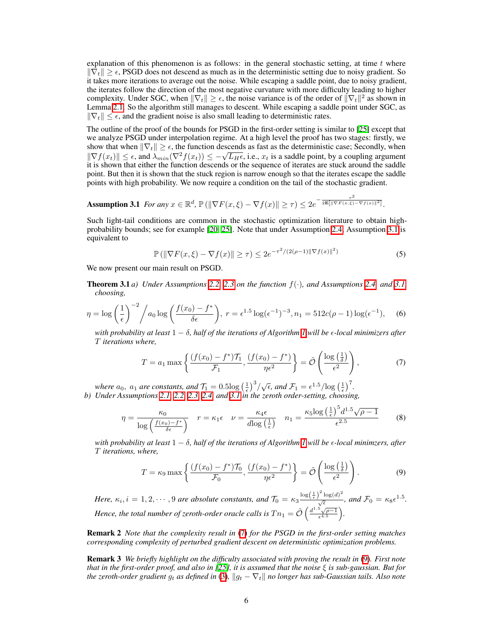explanation of this phenomenon is as follows: in the general stochastic setting, at time *t* where  $\|\nabla_t\| \geq \epsilon$ , PSGD does not descend as much as in the deterministic setting due to noisy gradient. So it takes more iterations to average out the noise. While escaping a saddle point, due to noisy gradient, the iterates follow the direction of the most negative curvature with more difficulty leading to higher complexity. Under SGC, when  $\|\nabla_t\| \geq \epsilon$ , the noise variance is of the order of  $\|\nabla_t\|^2$  as shown in Lemma **2.1.** So the algorithm still manages to descent. While escaping a saddle point under SGC, as  $\|\nabla_t\| \leq \epsilon$ , and the gradient noise is also small leading to deterministic rates.

The outline of the proof of the bounds for PSGD in the first-order setting is similar to  $[25]$  except that we analyze PSGD under interpolation regime. At a high level the proof has two stages: firstly, we show that when  $\|\nabla_t\| \geq \epsilon$ , the function descends as fast as the deterministic case; Secondly, when  $\|\nabla f(x_t)\| \leq \epsilon$ , and  $\lambda_{min}(\nabla^2 f(x_t)) \leq -\sqrt{L_H \epsilon}$ , i.e.,  $x_t$  is a saddle point, by a coupling argument it is shown that either the function descends or the sequence of iterates are stuck around the saddle point. But then it is shown that the stuck region is narrow enough so that the iterates escape the saddle points with high probability. We now require a condition on the tail of the stochastic gradient.

Assumption 3.1 *For any*  $x \in \mathbb{R}^d$ ,  $\mathbb{P}(\|\nabla F(x,\xi) - \nabla f(x)\| \ge \tau) \le 2e^{-\frac{\tau^2}{2\mathbf{E}[\|\nabla F(x,\xi) - \nabla f(x)\|^2]}}$ .

Such light-tail conditions are common in the stochastic optimization literature to obtain highprobability bounds; see for example  $[20, 25]$  $[20, 25]$  $[20, 25]$ . Note that under Assumption  $[2.4]$ , Assumption  $[3.1]$  is equivalent to

<span id="page-5-1"></span><span id="page-5-0"></span>
$$
\mathbb{P}\left(\|\nabla F(x,\xi) - \nabla f(x)\| \ge \tau\right) \le 2e^{-\tau^2/(2(\rho-1)\|\nabla f(x)\|^2)}\tag{5}
$$

We now present our main result on PSGD.

**Theorem 3.1** *a) Under Assumptions*  $\boxed{2.2}$   $\boxed{2.3}$  *on the function*  $f(\cdot)$ *, and Assumptions*  $\boxed{2.4}$  *and*  $\boxed{3.1}$ *choosing,*

$$
\eta = \log\left(\frac{1}{\epsilon}\right)^{-2} / a_0 \log\left(\frac{f(x_0) - f^*}{\delta \epsilon}\right), \ r = \epsilon^{1.5} \log(\epsilon^{-1})^{-3}, n_1 = 512c(\rho - 1)\log(\epsilon^{-1}), \tag{6}
$$

*with probability at least*  $1 - \delta$ , half of the iterations of Algorithm<sup>*I*</sup> will be  $\epsilon$ -local minimizers after *T iterations where,*

<span id="page-5-2"></span>
$$
T = a_1 \max \left\{ \frac{(f(x_0) - f^*) \mathcal{T}_1}{\mathcal{F}_1}, \frac{(f(x_0) - f^*)}{\eta \epsilon^2} \right\} = \tilde{\mathcal{O}} \left( \frac{\log \left( \frac{1}{\delta} \right)}{\epsilon^2} \right),\tag{7}
$$

*where*  $a_0$ ,  $a_1$  *are constants, and*  $\overline{T_1} = 0.5 \log_{10} \left(\frac{1}{\epsilon}\right)^3/\sqrt{\epsilon}$ , and  $\overline{T_1} = \epsilon^{1.5}/\log_{10} \left(\frac{1}{\epsilon}\right)^7$ . *b) Under Assumptions [2.1,](#page-3-1) [2.2,](#page-3-5) [2.3,](#page-3-2) [2.4,](#page-3-4) and [3.1](#page-5-1) in the zeroth order-setting, choosing,*

$$
\eta = \frac{\kappa_0}{\log\left(\frac{f(x_0) - f^*}{\delta \epsilon}\right)} \quad r = \kappa_1 \epsilon \quad \nu = \frac{\kappa_4 \epsilon}{d \log\left(\frac{1}{\epsilon}\right)} \quad n_1 = \frac{\kappa_5 \log\left(\frac{1}{\epsilon}\right)^5 d^{1.5} \sqrt{\rho - 1}}{\epsilon^{2.5}} \tag{8}
$$

*with probability at least*  $1 - \delta$ , half of the iterations of Algorithm *1* will be  $\epsilon$ -local minimzers, after *T iterations, where,*

<span id="page-5-3"></span>
$$
T = \kappa_9 \max \left\{ \frac{(f(x_0) - f^*) \mathcal{T}_0}{\mathcal{F}_0}, \frac{(f(x_0) - f^*)}{\eta \epsilon^2} \right\} = \tilde{\mathcal{O}} \left( \frac{\log \left( \frac{1}{\delta} \right)}{\epsilon^2} \right). \tag{9}
$$

*Here,*  $\kappa_i$ ,  $i = 1, 2, \dots, 9$  *are absolute constants, and*  $\mathcal{T}_0 = \kappa_3 \frac{\log(\frac{1}{\epsilon})^2 \log(d)^2}{\sqrt{\epsilon}}$ *, and*  $\mathcal{F}_0 = \kappa_8 \epsilon^{1.5}$ *. Hence, the total number of zeroth-order oracle calls is*  $T n_1 = \tilde{\mathcal{O}} \left( \frac{d^{1.5} \sqrt{\rho - 1}}{\epsilon^{4.5}} \right)$ ⌘ *.*

Remark 2 *Note that the complexity result in* [\(7\)](#page-5-2) *for the PSGD in the first-order setting matches corresponding complexity of perturbed gradient descent on deterministic optimization problems.*

Remark 3 *We briefly highlight on the difficulty associated with proving the result in* [\(9\)](#page-5-3)*. First note that in the first-order proof, and also in*  $[25]$ *, it is assumed that the noise*  $\xi$  *is sub-gaussian. But for the zeroth-order gradient*  $g_t$  *as defined in*  $\Box B$ *,*  $\Vert g_t - \nabla_t \Vert$  *no longer has sub-Gaussian tails. Also note*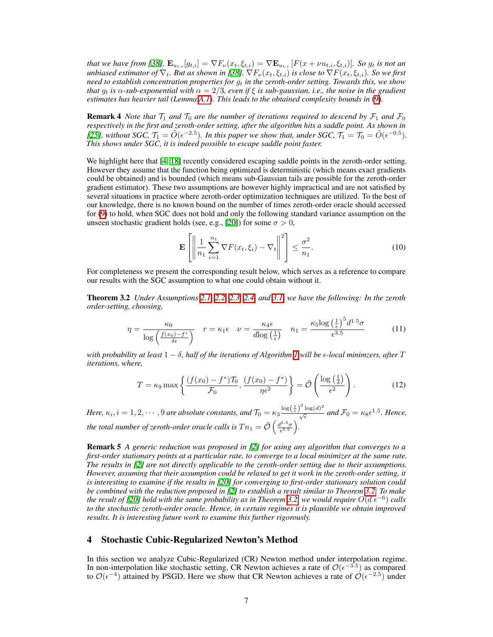that we have from  $[38]$ ,  $\mathbf{E}_{u_{t,i}}[g_{t,i}] = \nabla F_{\nu}(x_t, \xi_{t,i}) = \nabla \mathbf{E}_{u_{t,i}}[F(x + \nu u_{t,i}, \xi_{t,i})]$ . So  $g_t$  is not an *unbiased estimator of*  $\nabla_t$ *. But as shown in* [\[38\]](#page-11-12),  $\nabla F_\nu(x_t, \xi_{t,i})$  *is close to*  $\nabla F(x_t, \xi_{t,i})$ *. So we first need to establish concentration properties for g<sup>t</sup> in the zeroth-order setting. Towards this, we show that*  $g_t$  *is*  $\alpha$ -sub-exponential with  $\alpha = 2/3$ , even if  $\xi$  *is sub-gaussian, i.e., the noise in the gradient estimates has heavier tail (Lemma*  $\overline{A,I}$ )*. This leads to the obtained complexity bounds in* [\(9\)](#page-5-3)*.* 

**Remark 4** *Note that*  $T_1$  *and*  $T_0$  *are the number of iterations required to descend by*  $\mathcal{F}_1$  *and*  $\mathcal{F}_0$ *respectively in the first and zeroth-order setting, after the algorithm hits a saddle point. As shown in [\[25\]](#page-10-7), without SGC,*  $\mathcal{T}_1 = \tilde{O}(\epsilon^{-2.5})$ *. In this paper we show that, under SGC,*  $\mathcal{T}_1 = \mathcal{T}_0 = \tilde{O}(\epsilon^{-0.5})$ *. This shows under SGC, it is indeed possible to escape saddle point faster.*

We highlight here that  $\left|\frac{1}{4}\right| \left| \frac{1}{8} \right|$  recently considered escaping saddle points in the zeroth-order setting. However they assume that the function being optimized is deterministic (which means exact gradients could be obtained) and is bounded (which means sub-Gaussian tails are possible for the zeroth-order gradient estimator). These two assumptions are however highly impractical and are not satisfied by several situations in practice where zeroth-order optimization techniques are utilized. To the best of our knowledge, there is no known bound on the number of times zeroth-order oracle should accessed for [\(9\)](#page-5-3) to hold, when SGC does not hold and only the following standard variance assumption on the unseen stochastic gradient holds (see, e.g.,  $[20]$ ) for some  $\sigma > 0$ ,

$$
\mathbf{E}\left[\left\|\frac{1}{n_1}\sum_{i=1}^{n_1}\nabla F(x_t,\xi_i)-\nabla_t\right\|^2\right] \leq \frac{\sigma^2}{n_1}.\tag{10}
$$

For completeness we present the corresponding result below, which serves as a reference to compare our results with the SGC assumption to what one could obtain without it.

<span id="page-6-0"></span>**Theorem 3.2** *Under Assumptions*  $\boxed{2.1}$ ,  $\boxed{2.2}$ ,  $\boxed{2.3}$ ,  $\boxed{2.4}$ , *and*  $\boxed{3.1}$ , *we have the following: In the zeroth order-setting, choosing,*

$$
\eta = \frac{\kappa_0}{\log\left(\frac{f(x_0) - f^*}{\delta \epsilon}\right)} \quad r = \kappa_1 \epsilon \quad \nu = \frac{\kappa_4 \epsilon}{d \log\left(\frac{1}{\epsilon}\right)} \quad n_1 = \frac{\kappa_5 \log\left(\frac{1}{\epsilon}\right)^5 d^{1.5} \sigma}{\epsilon^{3.5}} \tag{11}
$$

*with probability at least*  $1 - \delta$ , half of the iterations of Algorithm *I* will be  $\epsilon$ -local minimzers, after *T iterations, where,*

$$
T = \kappa_9 \max \left\{ \frac{(f(x_0) - f^*) \mathcal{T}_0}{\mathcal{F}_0}, \frac{(f(x_0) - f^*)}{\eta \epsilon^2} \right\} = \tilde{\mathcal{O}} \left( \frac{\log \left( \frac{1}{\delta} \right)}{\epsilon^2} \right). \tag{12}
$$

*Here,*  $\kappa_i$ ,  $i = 1, 2, \cdots, 9$  are absolute constants, and  $\mathcal{T}_0 = \kappa_3 \frac{\log(\frac{1}{\epsilon})^2 \log(d)^2}{\sqrt{\epsilon}}$  and  $\mathcal{F}_0 = \kappa_8 \epsilon^{1.5}$ . Hence, *the total number of zeroth-order oracle calls is*  $T n_1 = \tilde{\mathcal{O}}\left(\frac{d^{1.5} \sigma}{\epsilon^{5.5}}\right)$ ⌘ *.*

Remark 5 *A generic reduction was proposed in [\[2\]](#page-8-1) for using any algorithm that converges to a first-order stationary points at a particular rate, to converge to a local minimizer at the same rate. The results in [\[2\]](#page-8-1) are not directly applicable to the zeroth-order setting due to their assumptions. However, assuming that their assumption could be relaxed to get it work in the zeroth-order setting, it is interesting to examine if the results in [\[20\]](#page-10-17) for converging to first-order stationary solution could be combined with the reduction proposed in [\[2\]](#page-8-1) to establish a result similar to Theorem [3.2.](#page-6-0) To make the result of* [\[20\]](#page-10-17)<sup> *hold with the same probability as in Theorem*  $\overline{3.2}$ *, we would require*  $O(\overline{d\epsilon^{-6}})$  *calls*</sup> *to the stochastic zeroth-order oracle. Hence, in certain regimes it is plausible we obtain improved results. It is interesting future work to examine this further rigorously.*

## 4 Stochastic Cubic-Regularized Newton's Method

In this section we analyze Cubic-Regularized (CR) Newton method under interpolation regime. In non-interpolation like stochastic setting, CR Newton achieves a rate of  $\mathcal{O}(\epsilon^{-3.5})$  as compared to  $\mathcal{O}(\epsilon^{-4})$  attained by PSGD. Here we show that CR Newton achieves a rate of  $\mathcal{O}(\epsilon^{-2.5})$  under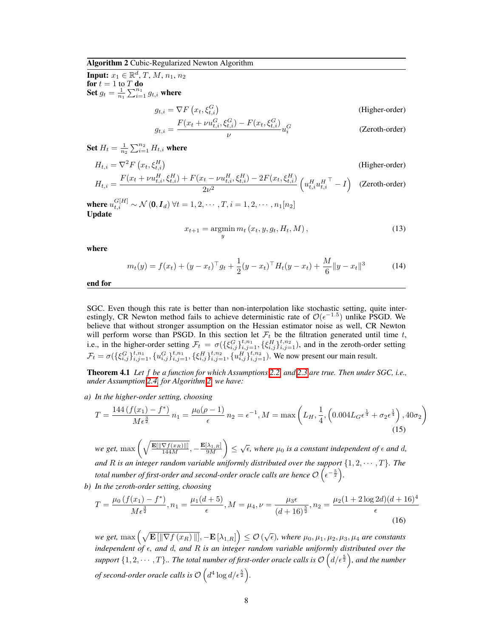#### <span id="page-7-2"></span>Algorithm 2 Cubic-Regularized Newton Algorithm

**Input:**  $x_1 \in \mathbb{R}^d, T, M, n_1, n_2$ for  $t = 1$  to  $T$  do Set  $g_t = \frac{1}{n_1} \sum_{i=1}^{n_1} g_{t,i}$  where

$$
g_{t,i} = \nabla F\left(x_t, \xi_{t,i}^G\right) \tag{Higher-order}
$$

$$
g_{t,i} = \frac{F(x_t + \nu u_{t,i}^G, \xi_{t,i}^G) - F(x_t, \xi_{t,i}^G)}{\nu} u_i^G
$$
 (Zeroth-order)

Set  $H_t = \frac{1}{n_2} \sum_{i=1}^{n_2} H_{t,i}$  where

$$
H_{t,i} = \nabla^2 F\left(x_t, \xi_{t,i}^H\right)
$$
\n(Higher-order)  
\n
$$
H_{t,i} = \frac{F(x_t + \nu u_{t,i}^H, \xi_{t,i}^H) + F(x_t - \nu u_{t,i}^H, \xi_{t,i}^H) - 2F(x_t, \xi_{t,i}^H)}{2\nu^2} \left(u_{t,i}^H u_{t,i}^H - I\right)
$$
\n(Zeroth-order)

where  $u_{t,i}^{G[H]} \sim \mathcal{N}(\mathbf{0}, \mathbf{I}_d)$   $\forall t = 1, 2, \cdots, T, i = 1, 2, \cdots, n_1[n_2]$ Update

<span id="page-7-3"></span><span id="page-7-0"></span>
$$
x_{t+1} = \operatorname*{argmin}_{y} m_t(x_t, y, g_t, H_t, M), \qquad (13)
$$

where

$$
m_t(y) = f(x_t) + (y - x_t)^{\top} g_t + \frac{1}{2} (y - x_t)^{\top} H_t(y - x_t) + \frac{M}{6} \|y - x_t\|^3
$$
 (14)

end for

SGC. Even though this rate is better than non-interpolation like stochastic setting, quite interestingly, CR Newton method fails to achieve deterministic rate of  $O(\epsilon^{-1.5})$  unlike PSGD. We believe that without stronger assumption on the Hessian estimator noise as well, CR Newton will perform worse than PSGD. In this section let  $\mathcal{F}_t$  be the filtration generated until time  $t$ , i.e., in the higher-order setting  $\mathcal{F}_t = \sigma(\{\xi_{i,j}^G\}_{i,j=1}^{t,n_1}, \{\xi_{i,j}^H\}_{i,j=1}^{t,n_2}),$  and in the zeroth-order setting  $\mathcal{F}_t = \sigma(\{\xi_{i,j}^G\}_{i,j=1}^{t,n_1}, \{u_{i,j}^G\}_{i,j=1}^{t,n_1}, \{\xi_{i,j}^H\}_{i,j=1}^{t,n_2}, \{u_{i,j}^H\}_{i,j=1}^{t,n_2}).$  We now present our main result.

**Theorem 4.1** Let f be a function for which Assumptions  $[2.2]$  and  $[2.3]$  are true. Then under SGC, i.e., *under Assumption [2.4,](#page-3-4) for Algorithm [2,](#page-7-2) we have:*

*a) In the higher-order setting, choosing*

$$
T = \frac{144\left(f(x_1) - f^*\right)}{M\epsilon^{\frac{3}{2}}} n_1 = \frac{\mu_0(\rho - 1)}{\epsilon} n_2 = \epsilon^{-1}, M = \max\left(L_H, \frac{1}{4}, \left(0.004L_G\epsilon^{\frac{1}{4}} + \sigma_2\epsilon^{\frac{1}{4}}\right), 40\sigma_2\right)
$$
\n(15)

 $we get, \max\left(\sqrt{\frac{\mathbf{E}[\|\nabla f(x_R)\|]}{144M}}, -\frac{\mathbf{E}[\lambda_{1,R}]}{9M}\right)$  $\left(\int \xi \right) \leq \sqrt{\epsilon}$ , where  $\mu_0$  *is a constant independent of*  $\epsilon$  *and d*, *and R is an integer random variable uniformly distributed over the support*  $\{1, 2, \dots, T\}$ *. The total number of first-order and second-order oracle calls are hence*  $\mathcal{O}\left(\epsilon^{-\frac{5}{2}}\right)$ . *b) In the zeroth-order setting, choosing*

$$
T = \frac{\mu_0 \left(f(x_1) - f^*\right)}{M\epsilon^{\frac{3}{2}}}, n_1 = \frac{\mu_1(d+5)}{\epsilon}, M = \mu_4, \nu = \frac{\mu_3 \epsilon}{(d+16)^{\frac{5}{2}}}, n_2 = \frac{\mu_2(1+2\log 2d)(d+16)^4}{\epsilon}
$$
\n(16)

<span id="page-7-1"></span> $w$ e get,  $\max\left(\sqrt{\mathbf{E}\left[\left\|\nabla f\left(x_{R}\right) \right\|\right]}, -\mathbf{E}\left[\lambda_{1,R}\right]\right) \leq \mathcal{O}\left(\sqrt{\epsilon}\right)$ , where  $\mu_{0}, \mu_{1}, \mu_{2}, \mu_{3}, \mu_{4}$  are constants *independent of* ✏*, and d, and R is an integer random variable uniformly distributed over the* support  $\{1, 2, \cdots, T\}$ .. The total number of first-order oracle calls is  $\mathcal{O}\left(d/\epsilon^{\frac{5}{2}}\right)$ , and the number *of second-order oracle calls is*  $\mathcal{O}\left(d^4\log d/\epsilon^{\frac{5}{2}}\right)$ *.*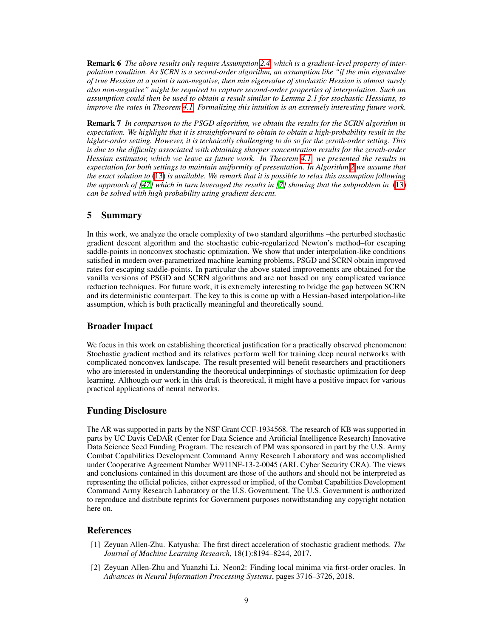Remark 6 *The above results only require Assumption [2.4,](#page-3-4) which is a gradient-level property of interpolation condition. As SCRN is a second-order algorithm, an assumption like "if the min eigenvalue of true Hessian at a point is non-negative, then min eigenvalue of stochastic Hessian is almost surely also non-negative" might be required to capture second-order properties of interpolation. Such an assumption could then be used to obtain a result similar to Lemma 2.1 for stochastic Hessians, to improve the rates in Theorem*<sup> $\overline{4.1}$ *</sup> Formalizing this intuition is an extremely interesting future work.*</sup>

Remark 7 *In comparison to the PSGD algorithm, we obtain the results for the SCRN algorithm in expectation. We highlight that it is straightforward to obtain to obtain a high-probability result in the higher-order setting. However, it is technically challenging to do so for the zeroth-order setting. This is due to the difficulty associated with obtaining sharper concentration results for the zeroth-order Hessian estimator, which we leave as future work. In Theorem [4.1,](#page-7-0) we presented the results in expectation for both settings to maintain uniformity of presentation. In Algorithm [2](#page-7-2) we assume that the exact solution to* [\(13\)](#page-7-3) *is available. We remark that it is possible to relax this assumption following the approach of*  $\sqrt{47}$  *which in turn leveraged the results in*  $\sqrt{2}$  *showing that the subproblem in*  $\sqrt{13}$ *can be solved with high probability using gradient descent.*

## 5 Summary

In this work, we analyze the oracle complexity of two standard algorithms –the perturbed stochastic gradient descent algorithm and the stochastic cubic-regularized Newton's method–for escaping saddle-points in nonconvex stochastic optimization. We show that under interpolation-like conditions satisfied in modern over-parametrized machine learning problems, PSGD and SCRN obtain improved rates for escaping saddle-points. In particular the above stated improvements are obtained for the vanilla versions of PSGD and SCRN algorithms and are not based on any complicated variance reduction techniques. For future work, it is extremely interesting to bridge the gap between SCRN and its deterministic counterpart. The key to this is come up with a Hessian-based interpolation-like assumption, which is both practically meaningful and theoretically sound.

## Broader Impact

We focus in this work on establishing theoretical justification for a practically observed phenomenon: Stochastic gradient method and its relatives perform well for training deep neural networks with complicated nonconvex landscape. The result presented will benefit researchers and practitioners who are interested in understanding the theoretical underpinnings of stochastic optimization for deep learning. Although our work in this draft is theoretical, it might have a positive impact for various practical applications of neural networks.

## Funding Disclosure

The AR was supported in parts by the NSF Grant CCF-1934568. The research of KB was supported in parts by UC Davis CeDAR (Center for Data Science and Artificial Intelligence Research) Innovative Data Science Seed Funding Program. The research of PM was sponsored in part by the U.S. Army Combat Capabilities Development Command Army Research Laboratory and was accomplished under Cooperative Agreement Number W911NF-13-2-0045 (ARL Cyber Security CRA). The views and conclusions contained in this document are those of the authors and should not be interpreted as representing the official policies, either expressed or implied, of the Combat Capabilities Development Command Army Research Laboratory or the U.S. Government. The U.S. Government is authorized to reproduce and distribute reprints for Government purposes notwithstanding any copyright notation here on.

### References

- <span id="page-8-0"></span>[1] Zeyuan Allen-Zhu. Katyusha: The first direct acceleration of stochastic gradient methods. *The Journal of Machine Learning Research*, 18(1):8194–8244, 2017.
- <span id="page-8-1"></span>[2] Zeyuan Allen-Zhu and Yuanzhi Li. Neon2: Finding local minima via first-order oracles. In *Advances in Neural Information Processing Systems*, pages 3716–3726, 2018.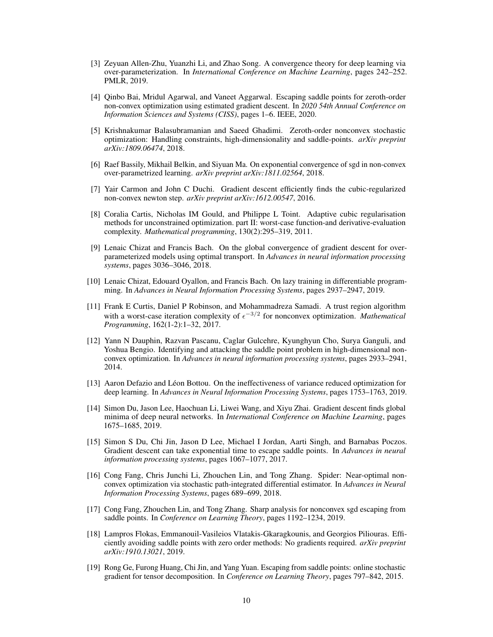- <span id="page-9-14"></span>[3] Zeyuan Allen-Zhu, Yuanzhi Li, and Zhao Song. A convergence theory for deep learning via over-parameterization. In *International Conference on Machine Learning*, pages 242–252. PMLR, 2019.
- <span id="page-9-6"></span>[4] Qinbo Bai, Mridul Agarwal, and Vaneet Aggarwal. Escaping saddle points for zeroth-order non-convex optimization using estimated gradient descent. In *2020 54th Annual Conference on Information Sciences and Systems (CISS)*, pages 1–6. IEEE, 2020.
- <span id="page-9-10"></span>[5] Krishnakumar Balasubramanian and Saeed Ghadimi. Zeroth-order nonconvex stochastic optimization: Handling constraints, high-dimensionality and saddle-points. *arXiv preprint arXiv:1809.06474*, 2018.
- <span id="page-9-11"></span>[6] Raef Bassily, Mikhail Belkin, and Siyuan Ma. On exponential convergence of sgd in non-convex over-parametrized learning. *arXiv preprint arXiv:1811.02564*, 2018.
- <span id="page-9-16"></span>[7] Yair Carmon and John C Duchi. Gradient descent efficiently finds the cubic-regularized non-convex newton step. *arXiv preprint arXiv:1612.00547*, 2016.
- <span id="page-9-8"></span>[8] Coralia Cartis, Nicholas IM Gould, and Philippe L Toint. Adaptive cubic regularisation methods for unconstrained optimization. part II: worst-case function-and derivative-evaluation complexity. *Mathematical programming*, 130(2):295–319, 2011.
- <span id="page-9-12"></span>[9] Lenaic Chizat and Francis Bach. On the global convergence of gradient descent for overparameterized models using optimal transport. In *Advances in neural information processing systems*, pages 3036–3046, 2018.
- <span id="page-9-13"></span>[10] Lenaic Chizat, Edouard Oyallon, and Francis Bach. On lazy training in differentiable programming. In *Advances in Neural Information Processing Systems*, pages 2937–2947, 2019.
- <span id="page-9-9"></span>[11] Frank E Curtis, Daniel P Robinson, and Mohammadreza Samadi. A trust region algorithm with a worst-case iteration complexity of  $\epsilon^{-3/2}$  for nonconvex optimization. *Mathematical Programming*, 162(1-2):1–32, 2017.
- <span id="page-9-0"></span>[12] Yann N Dauphin, Razvan Pascanu, Caglar Gulcehre, Kyunghyun Cho, Surya Ganguli, and Yoshua Bengio. Identifying and attacking the saddle point problem in high-dimensional nonconvex optimization. In *Advances in neural information processing systems*, pages 2933–2941, 2014.
- <span id="page-9-5"></span>[13] Aaron Defazio and Léon Bottou. On the ineffectiveness of variance reduced optimization for deep learning. In *Advances in Neural Information Processing Systems*, pages 1753–1763, 2019.
- <span id="page-9-15"></span>[14] Simon Du, Jason Lee, Haochuan Li, Liwei Wang, and Xiyu Zhai. Gradient descent finds global minima of deep neural networks. In *International Conference on Machine Learning*, pages 1675–1685, 2019.
- <span id="page-9-1"></span>[15] Simon S Du, Chi Jin, Jason D Lee, Michael I Jordan, Aarti Singh, and Barnabas Poczos. Gradient descent can take exponential time to escape saddle points. In *Advances in neural information processing systems*, pages 1067–1077, 2017.
- <span id="page-9-4"></span>[16] Cong Fang, Chris Junchi Li, Zhouchen Lin, and Tong Zhang. Spider: Near-optimal nonconvex optimization via stochastic path-integrated differential estimator. In *Advances in Neural Information Processing Systems*, pages 689–699, 2018.
- <span id="page-9-3"></span>[17] Cong Fang, Zhouchen Lin, and Tong Zhang. Sharp analysis for nonconvex sgd escaping from saddle points. In *Conference on Learning Theory*, pages 1192–1234, 2019.
- <span id="page-9-7"></span>[18] Lampros Flokas, Emmanouil-Vasileios Vlatakis-Gkaragkounis, and Georgios Piliouras. Efficiently avoiding saddle points with zero order methods: No gradients required. *arXiv preprint arXiv:1910.13021*, 2019.
- <span id="page-9-2"></span>[19] Rong Ge, Furong Huang, Chi Jin, and Yang Yuan. Escaping from saddle points: online stochastic gradient for tensor decomposition. In *Conference on Learning Theory*, pages 797–842, 2015.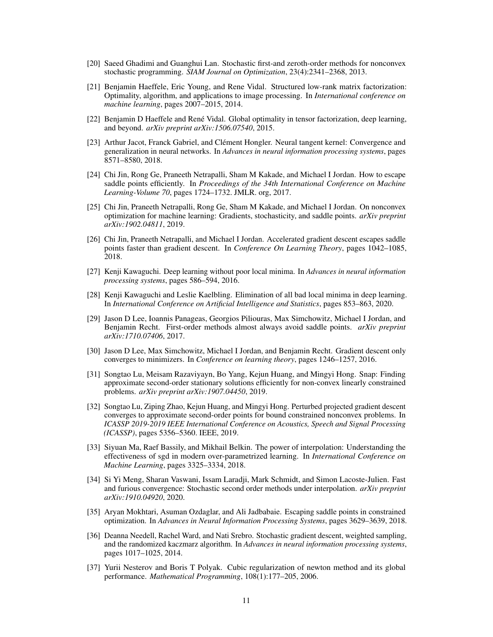- <span id="page-10-17"></span>[20] Saeed Ghadimi and Guanghui Lan. Stochastic first-and zeroth-order methods for nonconvex stochastic programming. *SIAM Journal on Optimization*, 23(4):2341–2368, 2013.
- <span id="page-10-2"></span>[21] Benjamin Haeffele, Eric Young, and Rene Vidal. Structured low-rank matrix factorization: Optimality, algorithm, and applications to image processing. In *International conference on machine learning*, pages 2007–2015, 2014.
- <span id="page-10-1"></span>[22] Benjamin D Haeffele and René Vidal. Global optimality in tensor factorization, deep learning, and beyond. *arXiv preprint arXiv:1506.07540*, 2015.
- <span id="page-10-16"></span>[23] Arthur Jacot, Franck Gabriel, and Clément Hongler. Neural tangent kernel: Convergence and generalization in neural networks. In *Advances in neural information processing systems*, pages 8571–8580, 2018.
- <span id="page-10-5"></span>[24] Chi Jin, Rong Ge, Praneeth Netrapalli, Sham M Kakade, and Michael I Jordan. How to escape saddle points efficiently. In *Proceedings of the 34th International Conference on Machine Learning-Volume 70*, pages 1724–1732. JMLR. org, 2017.
- <span id="page-10-7"></span>[25] Chi Jin, Praneeth Netrapalli, Rong Ge, Sham M Kakade, and Michael I Jordan. On nonconvex optimization for machine learning: Gradients, stochasticity, and saddle points. *arXiv preprint arXiv:1902.04811*, 2019.
- <span id="page-10-6"></span>[26] Chi Jin, Praneeth Netrapalli, and Michael I Jordan. Accelerated gradient descent escapes saddle points faster than gradient descent. In *Conference On Learning Theory*, pages 1042–1085, 2018.
- <span id="page-10-0"></span>[27] Kenji Kawaguchi. Deep learning without poor local minima. In *Advances in neural information processing systems*, pages 586–594, 2016.
- <span id="page-10-15"></span>[28] Kenji Kawaguchi and Leslie Kaelbling. Elimination of all bad local minima in deep learning. In *International Conference on Artificial Intelligence and Statistics*, pages 853–863, 2020.
- <span id="page-10-4"></span>[29] Jason D Lee, Ioannis Panageas, Georgios Piliouras, Max Simchowitz, Michael I Jordan, and Benjamin Recht. First-order methods almost always avoid saddle points. *arXiv preprint arXiv:1710.07406*, 2017.
- <span id="page-10-3"></span>[30] Jason D Lee, Max Simchowitz, Michael I Jordan, and Benjamin Recht. Gradient descent only converges to minimizers. In *Conference on learning theory*, pages 1246–1257, 2016.
- <span id="page-10-13"></span>[31] Songtao Lu, Meisam Razaviyayn, Bo Yang, Kejun Huang, and Mingyi Hong. Snap: Finding approximate second-order stationary solutions efficiently for non-convex linearly constrained problems. *arXiv preprint arXiv:1907.04450*, 2019.
- <span id="page-10-12"></span>[32] Songtao Lu, Ziping Zhao, Kejun Huang, and Mingyi Hong. Perturbed projected gradient descent converges to approximate second-order points for bound constrained nonconvex problems. In *ICASSP 2019-2019 IEEE International Conference on Acoustics, Speech and Signal Processing (ICASSP)*, pages 5356–5360. IEEE, 2019.
- <span id="page-10-9"></span>[33] Siyuan Ma, Raef Bassily, and Mikhail Belkin. The power of interpolation: Understanding the effectiveness of sgd in modern over-parametrized learning. In *International Conference on Machine Learning*, pages 3325–3334, 2018.
- <span id="page-10-11"></span>[34] Si Yi Meng, Sharan Vaswani, Issam Laradji, Mark Schmidt, and Simon Lacoste-Julien. Fast and furious convergence: Stochastic second order methods under interpolation. *arXiv preprint arXiv:1910.04920*, 2020.
- <span id="page-10-14"></span>[35] Aryan Mokhtari, Asuman Ozdaglar, and Ali Jadbabaie. Escaping saddle points in constrained optimization. In *Advances in Neural Information Processing Systems*, pages 3629–3639, 2018.
- <span id="page-10-10"></span>[36] Deanna Needell, Rachel Ward, and Nati Srebro. Stochastic gradient descent, weighted sampling, and the randomized kaczmarz algorithm. In *Advances in neural information processing systems*, pages 1017–1025, 2014.
- <span id="page-10-8"></span>[37] Yurii Nesterov and Boris T Polyak. Cubic regularization of newton method and its global performance. *Mathematical Programming*, 108(1):177–205, 2006.